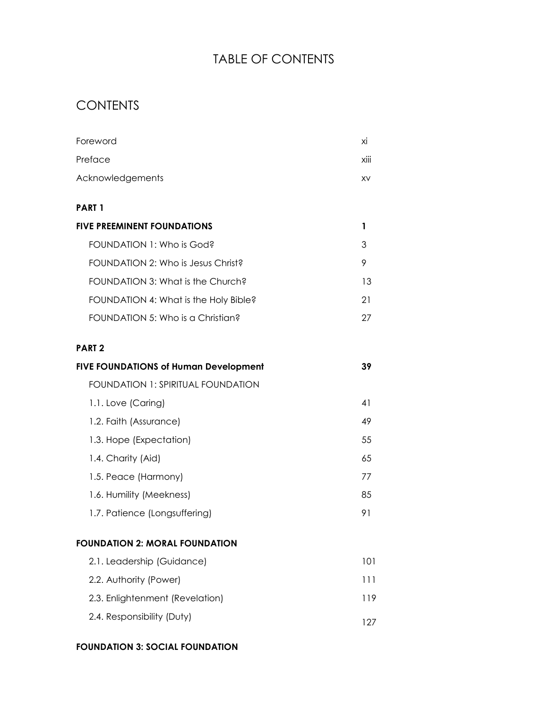# TABLE OF CONTENTS

## **CONTENTS**

| Foreword                                     | хi   |
|----------------------------------------------|------|
| Preface                                      | xiii |
| Acknowledgements                             | XV   |
| <b>PART 1</b>                                |      |
| <b>FIVE PREEMINENT FOUNDATIONS</b>           | 1    |
| FOUNDATION 1: Who is God?                    | 3    |
| FOUNDATION 2: Who is Jesus Christ?           | 9    |
| FOUNDATION 3: What is the Church?            | 13   |
| FOUNDATION 4: What is the Holy Bible?        | 21   |
| FOUNDATION 5: Who is a Christian?            | 27   |
| PART <sub>2</sub>                            |      |
| <b>FIVE FOUNDATIONS of Human Development</b> | 39   |
| <b>FOUNDATION 1: SPIRITUAL FOUNDATION</b>    |      |
| 1.1. Love (Caring)                           | 41   |
| 1.2. Faith (Assurance)                       | 49   |
| 1.3. Hope (Expectation)                      | 55   |
| 1.4. Charity (Aid)                           | 65   |
| 1.5. Peace (Harmony)                         | 77   |
| 1.6. Humility (Meekness)                     | 85   |
| 1.7. Patience (Longsuffering)                | 91   |
|                                              |      |

| 2.1. Leadership (Guidance)      | 101 |  |
|---------------------------------|-----|--|
| 2.2. Authority (Power)          | 111 |  |
| 2.3. Enlightenment (Revelation) | 119 |  |
| 2.4. Responsibility (Duty)      | 127 |  |

#### **FOUNDATION 3: SOCIAL FOUNDATION**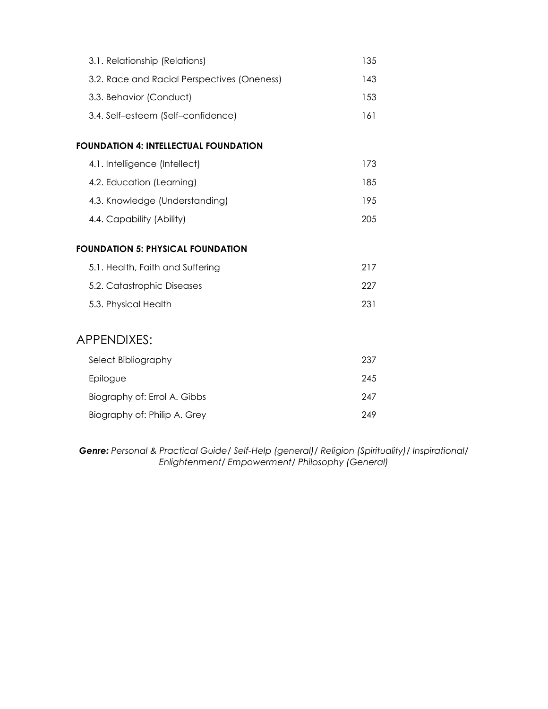| 3.1. Relationship (Relations)                | 135 |
|----------------------------------------------|-----|
| 3.2. Race and Racial Perspectives (Oneness)  | 143 |
| 3.3. Behavior (Conduct)                      | 153 |
| 3.4. Self-esteem (Self-confidence)           | 161 |
| <b>FOUNDATION 4: INTELLECTUAL FOUNDATION</b> |     |
| 4.1. Intelligence (Intellect)                | 173 |
| 4.2. Education (Learning)                    | 185 |
| 4.3. Knowledge (Understanding)               | 195 |
| 4.4. Capability (Ability)                    | 205 |
| <b>FOUNDATION 5: PHYSICAL FOUNDATION</b>     |     |
| 5.1. Health, Faith and Suffering             | 217 |
| 5.2. Catastrophic Diseases                   | 227 |
| 5.3. Physical Health                         | 231 |
| APPENDIXES:                                  |     |
| Select Bibliography                          | 237 |
| Epilogue                                     | 245 |
| Biography of: Errol A. Gibbs                 | 247 |
| Biography of: Philip A. Grey                 | 249 |

*Genre: Personal & Practical Guide/ Self-Help (general)/ Religion (Spirituality)/ Inspirational/ Enlightenment/ Empowerment/ Philosophy (General)*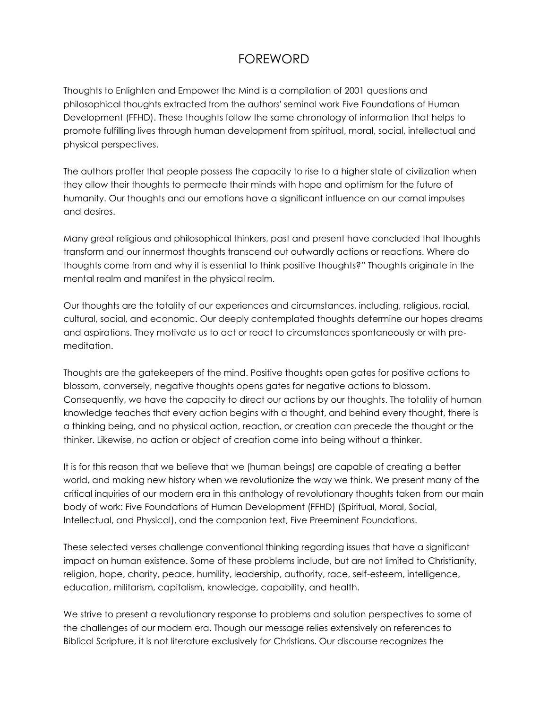## FOREWORD

Thoughts to Enlighten and Empower the Mind is a compilation of 2001 questions and philosophical thoughts extracted from the authors' seminal work Five Foundations of Human Development (FFHD). These thoughts follow the same chronology of information that helps to promote fulfilling lives through human development from spiritual, moral, social, intellectual and physical perspectives.

The authors proffer that people possess the capacity to rise to a higher state of civilization when they allow their thoughts to permeate their minds with hope and optimism for the future of humanity. Our thoughts and our emotions have a significant influence on our carnal impulses and desires.

Many great religious and philosophical thinkers, past and present have concluded that thoughts transform and our innermost thoughts transcend out outwardly actions or reactions. Where do thoughts come from and why it is essential to think positive thoughts?" Thoughts originate in the mental realm and manifest in the physical realm.

Our thoughts are the totality of our experiences and circumstances, including, religious, racial, cultural, social, and economic. Our deeply contemplated thoughts determine our hopes dreams and aspirations. They motivate us to act or react to circumstances spontaneously or with premeditation.

Thoughts are the gatekeepers of the mind. Positive thoughts open gates for positive actions to blossom, conversely, negative thoughts opens gates for negative actions to blossom. Consequently, we have the capacity to direct our actions by our thoughts. The totality of human knowledge teaches that every action begins with a thought, and behind every thought, there is a thinking being, and no physical action, reaction, or creation can precede the thought or the thinker. Likewise, no action or object of creation come into being without a thinker.

It is for this reason that we believe that we (human beings) are capable of creating a better world, and making new history when we revolutionize the way we think. We present many of the critical inquiries of our modern era in this anthology of revolutionary thoughts taken from our main body of work: Five Foundations of Human Development (FFHD) (Spiritual, Moral, Social, Intellectual, and Physical), and the companion text, Five Preeminent Foundations.

These selected verses challenge conventional thinking regarding issues that have a significant impact on human existence. Some of these problems include, but are not limited to Christianity, religion, hope, charity, peace, humility, leadership, authority, race, self-esteem, intelligence, education, militarism, capitalism, knowledge, capability, and health.

We strive to present a revolutionary response to problems and solution perspectives to some of the challenges of our modern era. Though our message relies extensively on references to Biblical Scripture, it is not literature exclusively for Christians. Our discourse recognizes the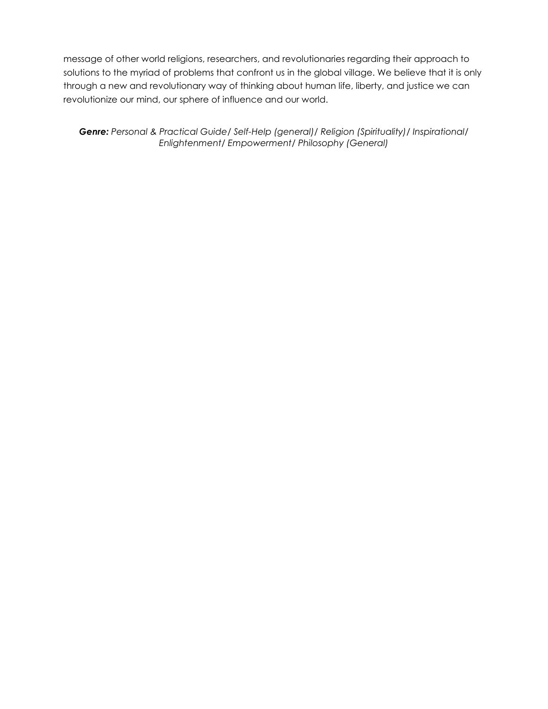message of other world religions, researchers, and revolutionaries regarding their approach to solutions to the myriad of problems that confront us in the global village. We believe that it is only through a new and revolutionary way of thinking about human life, liberty, and justice we can revolutionize our mind, our sphere of influence and our world.

*Genre: Personal & Practical Guide/ Self-Help (general)/ Religion (Spirituality)/ Inspirational/ Enlightenment/ Empowerment/ Philosophy (General)*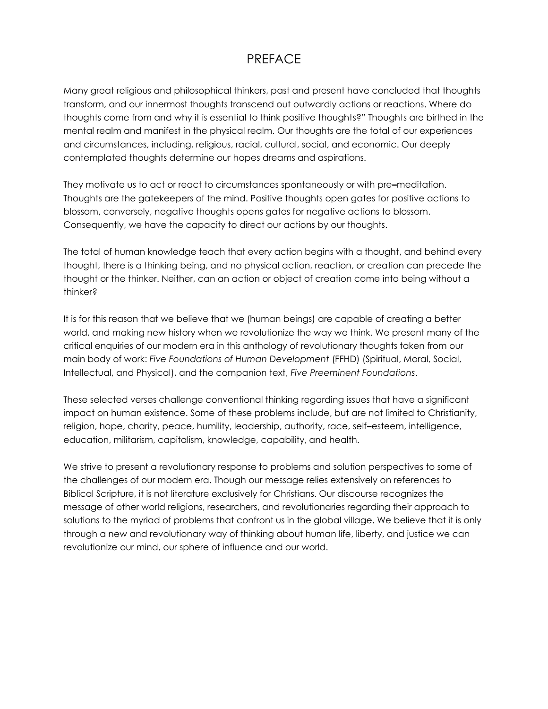#### PREFACE

Many great religious and philosophical thinkers, past and present have concluded that thoughts transform, and our innermost thoughts transcend out outwardly actions or reactions. Where do thoughts come from and why it is essential to think positive thoughts?" Thoughts are birthed in the mental realm and manifest in the physical realm. Our thoughts are the total of our experiences and circumstances, including, religious, racial, cultural, social, and economic. Our deeply contemplated thoughts determine our hopes dreams and aspirations.

They motivate us to act or react to circumstances spontaneously or with pre*–*meditation. Thoughts are the gatekeepers of the mind. Positive thoughts open gates for positive actions to blossom, conversely, negative thoughts opens gates for negative actions to blossom. Consequently, we have the capacity to direct our actions by our thoughts.

The total of human knowledge teach that every action begins with a thought, and behind every thought, there is a thinking being, and no physical action, reaction, or creation can precede the thought or the thinker. Neither, can an action or object of creation come into being without a thinker?

It is for this reason that we believe that we (human beings) are capable of creating a better world, and making new history when we revolutionize the way we think. We present many of the critical enquiries of our modern era in this anthology of revolutionary thoughts taken from our main body of work: *Five Foundations of Human Development* (FFHD) (Spiritual, Moral, Social, Intellectual, and Physical), and the companion text, *Five Preeminent Foundations*.

These selected verses challenge conventional thinking regarding issues that have a significant impact on human existence. Some of these problems include, but are not limited to Christianity, religion, hope, charity, peace, humility, leadership, authority, race, self*–*esteem, intelligence, education, militarism, capitalism, knowledge, capability, and health.

We strive to present a revolutionary response to problems and solution perspectives to some of the challenges of our modern era. Though our message relies extensively on references to Biblical Scripture, it is not literature exclusively for Christians. Our discourse recognizes the message of other world religions, researchers, and revolutionaries regarding their approach to solutions to the myriad of problems that confront us in the global village. We believe that it is only through a new and revolutionary way of thinking about human life, liberty, and justice we can revolutionize our mind, our sphere of influence and our world.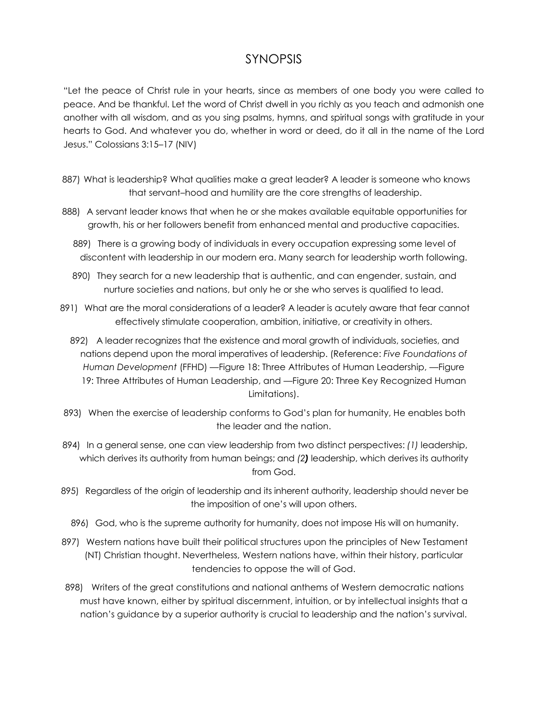#### SYNOPSIS

"Let the peace of Christ rule in your hearts, since as members of one body you were called to peace. And be thankful. Let the word of Christ dwell in you richly as you teach and admonish one another with all wisdom, and as you sing psalms, hymns, and spiritual songs with gratitude in your hearts to God. And whatever you do, whether in word or deed, do it all in the name of the Lord Jesus." Colossians 3:15–17 (NIV)

- 887) What is leadership? What qualities make a great leader? A leader is someone who knows that servant–hood and humility are the core strengths of leadership.
- 888) A servant leader knows that when he or she makes available equitable opportunities for growth, his or her followers benefit from enhanced mental and productive capacities.
	- 889) There is a growing body of individuals in every occupation expressing some level of discontent with leadership in our modern era. Many search for leadership worth following.
	- 890) They search for a new leadership that is authentic, and can engender, sustain, and nurture societies and nations, but only he or she who serves is qualified to lead.
- 891) What are the moral considerations of a leader? A leader is acutely aware that fear cannot effectively stimulate cooperation, ambition, initiative, or creativity in others.
	- 892) A leader recognizes that the existence and moral growth of individuals, societies, and nations depend upon the moral imperatives of leadership. (Reference: *Five Foundations of Human Development* (FFHD) —Figure 18: Three Attributes of Human Leadership, —Figure 19: Three Attributes of Human Leadership, and —Figure 20: Three Key Recognized Human Limitations).
- 893) When the exercise of leadership conforms to God's plan for humanity, He enables both the leader and the nation.
- 894) In a general sense, one can view leadership from two distinct perspectives: *(1)* leadership, which derives its authority from human beings; and *(2)* leadership, which derives its authority from God.
- 895) Regardless of the origin of leadership and its inherent authority, leadership should never be the imposition of one's will upon others.
	- 896) God, who is the supreme authority for humanity, does not impose His will on humanity.
- 897) Western nations have built their political structures upon the principles of New Testament (NT) Christian thought. Nevertheless, Western nations have, within their history, particular tendencies to oppose the will of God.
- 898) Writers of the great constitutions and national anthems of Western democratic nations must have known, either by spiritual discernment, intuition, or by intellectual insights that a nation's guidance by a superior authority is crucial to leadership and the nation's survival.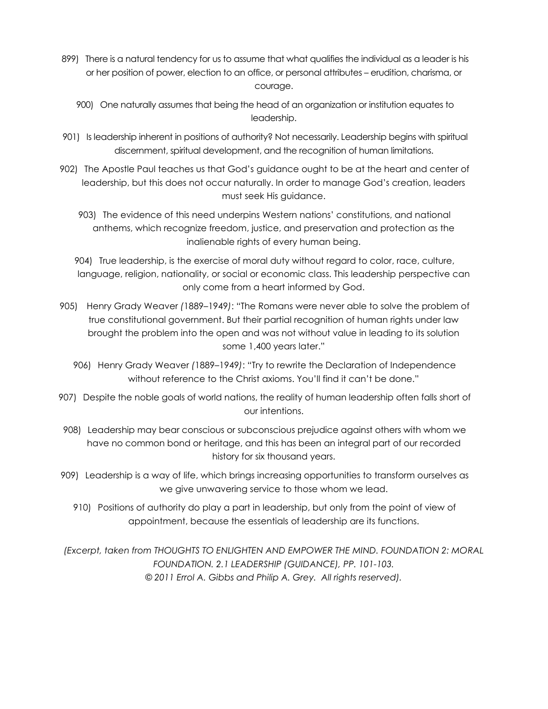- 899) There is a natural tendency for us to assume that what qualifies the individual as a leader is his or her position of power, election to an office, or personal attributes – erudition, charisma, or courage.
	- 900) One naturally assumes that being the head of an organization or institution equates to leadership.
- 901) Is leadership inherent in positions of authority? Not necessarily. Leadership begins with spiritual discernment, spiritual development, and the recognition of human limitations.
- 902) The Apostle Paul teaches us that God's guidance ought to be at the heart and center of leadership, but this does not occur naturally. In order to manage God's creation, leaders must seek His guidance.
	- 903) The evidence of this need underpins Western nations' constitutions, and national anthems, which recognize freedom, justice, and preservation and protection as the inalienable rights of every human being.

904) True leadership, is the exercise of moral duty without regard to color, race, culture, language, religion, nationality, or social or economic class. This leadership perspective can only come from a heart informed by God.

- 905) Henry Grady Weaver *(*1889–1949*)*: "The Romans were never able to solve the problem of true constitutional government. But their partial recognition of human rights under law brought the problem into the open and was not without value in leading to its solution some 1,400 years later."
	- 906) Henry Grady Weaver *(*1889–1949*)*: "Try to rewrite the Declaration of Independence without reference to the Christ axioms. You'll find it can't be done."
- 907) Despite the noble goals of world nations, the reality of human leadership often falls short of our intentions.
- 908) Leadership may bear conscious or subconscious prejudice against others with whom we have no common bond or heritage, and this has been an integral part of our recorded history for six thousand years.
- 909) Leadership is a way of life, which brings increasing opportunities to transform ourselves as we give unwavering service to those whom we lead.
	- 910) Positions of authority do play a part in leadership, but only from the point of view of appointment, because the essentials of leadership are its functions.

*(Excerpt, taken from THOUGHTS TO ENLIGHTEN AND EMPOWER THE MIND. FOUNDATION 2: MORAL FOUNDATION. 2.1 LEADERSHIP (GUIDANCE), PP. 101-103. © 2011 Errol A. Gibbs and Philip A. Grey. All rights reserved).*